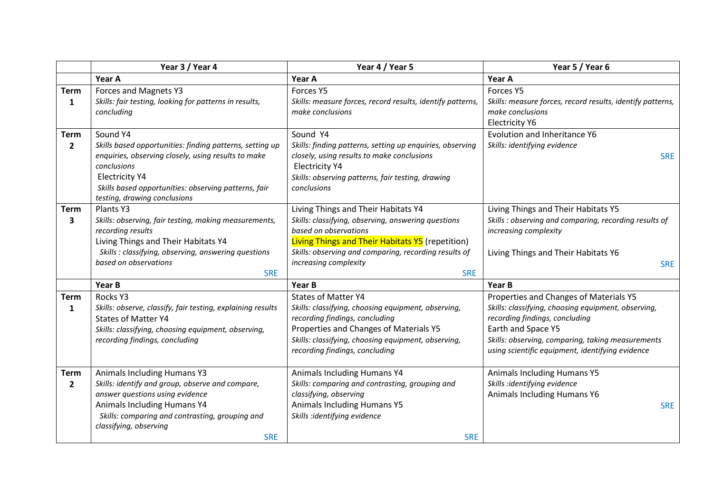|                               | Year 3 / Year 4                                                                                                                                                                                                                                 | Year 4 / Year 5                                                                                                                                                                                                                                        | Year 5 / Year 6                                                                                                                                                                                                                                                |
|-------------------------------|-------------------------------------------------------------------------------------------------------------------------------------------------------------------------------------------------------------------------------------------------|--------------------------------------------------------------------------------------------------------------------------------------------------------------------------------------------------------------------------------------------------------|----------------------------------------------------------------------------------------------------------------------------------------------------------------------------------------------------------------------------------------------------------------|
|                               | Year A                                                                                                                                                                                                                                          | Year A                                                                                                                                                                                                                                                 | Year A                                                                                                                                                                                                                                                         |
| <b>Term</b>                   | Forces and Magnets Y3                                                                                                                                                                                                                           | Forces Y5                                                                                                                                                                                                                                              | Forces Y5                                                                                                                                                                                                                                                      |
| $\mathbf{1}$                  | Skills: fair testing, looking for patterns in results,<br>concluding                                                                                                                                                                            | Skills: measure forces, record results, identify patterns,<br>make conclusions                                                                                                                                                                         | Skills: measure forces, record results, identify patterns,<br>make conclusions<br><b>Electricity Y6</b>                                                                                                                                                        |
| <b>Term</b>                   | Sound Y4                                                                                                                                                                                                                                        | Sound Y4                                                                                                                                                                                                                                               | <b>Evolution and Inheritance Y6</b>                                                                                                                                                                                                                            |
| $\overline{2}$                | Skills based opportunities: finding patterns, setting up<br>enquiries, observing closely, using results to make<br>conclusions<br><b>Electricity Y4</b><br>Skills based opportunities: observing patterns, fair<br>testing, drawing conclusions | Skills: finding patterns, setting up enquiries, observing<br>closely, using results to make conclusions<br><b>Electricity Y4</b><br>Skills: observing patterns, fair testing, drawing<br>conclusions                                                   | Skills: identifying evidence<br><b>SRE</b>                                                                                                                                                                                                                     |
| <b>Term</b>                   | Plants <sub>Y3</sub>                                                                                                                                                                                                                            | Living Things and Their Habitats Y4                                                                                                                                                                                                                    | Living Things and Their Habitats Y5                                                                                                                                                                                                                            |
| 3                             | Skills: observing, fair testing, making measurements,<br>recording results<br>Living Things and Their Habitats Y4                                                                                                                               | Skills: classifying, observing, answering questions<br>based on observations<br>Living Things and Their Habitats Y5 (repetition)                                                                                                                       | Skills : observing and comparing, recording results of<br>increasing complexity                                                                                                                                                                                |
|                               | Skills : classifying, observing, answering questions<br>based on observations<br><b>SRE</b>                                                                                                                                                     | Skills: observing and comparing, recording results of<br>increasing complexity<br><b>SRE</b>                                                                                                                                                           | Living Things and Their Habitats Y6<br><b>SRE</b>                                                                                                                                                                                                              |
|                               | Year B                                                                                                                                                                                                                                          | Year B                                                                                                                                                                                                                                                 | Year B                                                                                                                                                                                                                                                         |
| <b>Term</b><br>1              | Rocks Y3<br>Skills: observe, classify, fair testing, explaining results<br><b>States of Matter Y4</b><br>Skills: classifying, choosing equipment, observing,<br>recording findings, concluding                                                  | <b>States of Matter Y4</b><br>Skills: classifying, choosing equipment, observing,<br>recording findings, concluding<br>Properties and Changes of Materials Y5<br>Skills: classifying, choosing equipment, observing,<br>recording findings, concluding | Properties and Changes of Materials Y5<br>Skills: classifying, choosing equipment, observing,<br>recording findings, concluding<br>Earth and Space Y5<br>Skills: observing, comparing, taking measurements<br>using scientific equipment, identifying evidence |
| <b>Term</b><br>$\overline{2}$ | Animals Including Humans Y3<br>Skills: identify and group, observe and compare,<br>answer questions using evidence<br>Animals Including Humans Y4<br>Skills: comparing and contrasting, grouping and<br>classifying, observing<br><b>SRE</b>    | <b>Animals Including Humans Y4</b><br>Skills: comparing and contrasting, grouping and<br>classifying, observing<br><b>Animals Including Humans Y5</b><br>Skills :identifying evidence<br><b>SRE</b>                                                    | <b>Animals Including Humans Y5</b><br>Skills :identifying evidence<br><b>Animals Including Humans Y6</b><br><b>SRE</b>                                                                                                                                         |